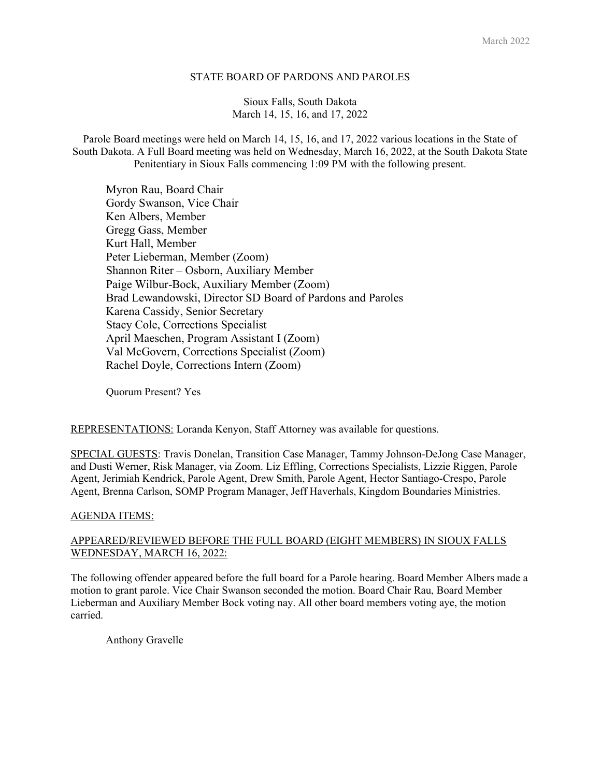### STATE BOARD OF PARDONS AND PAROLES

# Sioux Falls, South Dakota March 14, 15, 16, and 17, 2022

Parole Board meetings were held on March 14, 15, 16, and 17, 2022 various locations in the State of South Dakota. A Full Board meeting was held on Wednesday, March 16, 2022, at the South Dakota State Penitentiary in Sioux Falls commencing 1:09 PM with the following present.

Myron Rau, Board Chair Gordy Swanson, Vice Chair Ken Albers, Member Gregg Gass, Member Kurt Hall, Member Peter Lieberman, Member (Zoom) Shannon Riter – Osborn, Auxiliary Member Paige Wilbur-Bock, Auxiliary Member (Zoom) Brad Lewandowski, Director SD Board of Pardons and Paroles Karena Cassidy, Senior Secretary Stacy Cole, Corrections Specialist April Maeschen, Program Assistant I (Zoom) Val McGovern, Corrections Specialist (Zoom) Rachel Doyle, Corrections Intern (Zoom)

Quorum Present? Yes

# REPRESENTATIONS: Loranda Kenyon, Staff Attorney was available for questions.

SPECIAL GUESTS: Travis Donelan, Transition Case Manager, Tammy Johnson-DeJong Case Manager, and Dusti Werner, Risk Manager, via Zoom. Liz Effling, Corrections Specialists, Lizzie Riggen, Parole Agent, Jerimiah Kendrick, Parole Agent, Drew Smith, Parole Agent, Hector Santiago-Crespo, Parole Agent, Brenna Carlson, SOMP Program Manager, Jeff Haverhals, Kingdom Boundaries Ministries.

#### AGENDA ITEMS:

# APPEARED/REVIEWED BEFORE THE FULL BOARD (EIGHT MEMBERS) IN SIOUX FALLS WEDNESDAY, MARCH 16, 2022:

The following offender appeared before the full board for a Parole hearing. Board Member Albers made a motion to grant parole. Vice Chair Swanson seconded the motion. Board Chair Rau, Board Member Lieberman and Auxiliary Member Bock voting nay. All other board members voting aye, the motion carried.

Anthony Gravelle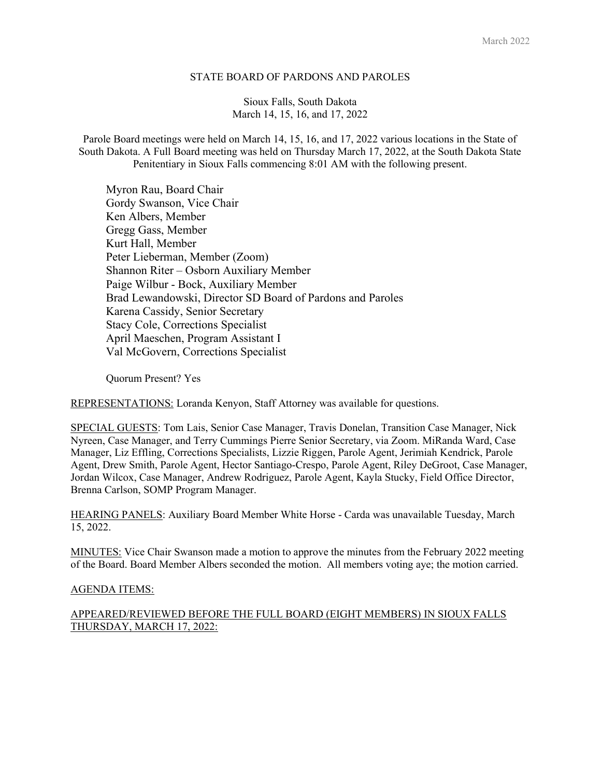### STATE BOARD OF PARDONS AND PAROLES

Sioux Falls, South Dakota March 14, 15, 16, and 17, 2022

Parole Board meetings were held on March 14, 15, 16, and 17, 2022 various locations in the State of South Dakota. A Full Board meeting was held on Thursday March 17, 2022, at the South Dakota State Penitentiary in Sioux Falls commencing 8:01 AM with the following present.

Myron Rau, Board Chair Gordy Swanson, Vice Chair Ken Albers, Member Gregg Gass, Member Kurt Hall, Member Peter Lieberman, Member (Zoom) Shannon Riter – Osborn Auxiliary Member Paige Wilbur - Bock, Auxiliary Member Brad Lewandowski, Director SD Board of Pardons and Paroles Karena Cassidy, Senior Secretary Stacy Cole, Corrections Specialist April Maeschen, Program Assistant I Val McGovern, Corrections Specialist

Quorum Present? Yes

REPRESENTATIONS: Loranda Kenyon, Staff Attorney was available for questions.

SPECIAL GUESTS: Tom Lais, Senior Case Manager, Travis Donelan, Transition Case Manager, Nick Nyreen, Case Manager, and Terry Cummings Pierre Senior Secretary, via Zoom. MiRanda Ward, Case Manager, Liz Effling, Corrections Specialists, Lizzie Riggen, Parole Agent, Jerimiah Kendrick, Parole Agent, Drew Smith, Parole Agent, Hector Santiago-Crespo, Parole Agent, Riley DeGroot, Case Manager, Jordan Wilcox, Case Manager, Andrew Rodriguez, Parole Agent, Kayla Stucky, Field Office Director, Brenna Carlson, SOMP Program Manager.

HEARING PANELS: Auxiliary Board Member White Horse - Carda was unavailable Tuesday, March 15, 2022.

MINUTES: Vice Chair Swanson made a motion to approve the minutes from the February 2022 meeting of the Board. Board Member Albers seconded the motion. All members voting aye; the motion carried.

#### AGENDA ITEMS:

APPEARED/REVIEWED BEFORE THE FULL BOARD (EIGHT MEMBERS) IN SIOUX FALLS THURSDAY, MARCH 17, 2022: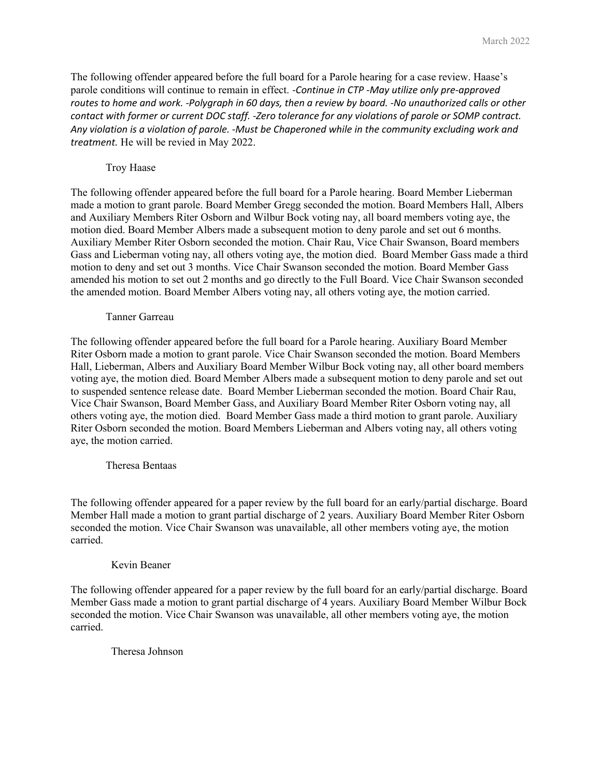The following offender appeared before the full board for a Parole hearing for a case review. Haase's parole conditions will continue to remain in effect. -Continue in CTP -May utilize only pre-approved routes to home and work. -Polygraph in 60 days, then a review by board. -No unauthorized calls or other contact with former or current DOC staff. -Zero tolerance for any violations of parole or SOMP contract. Any violation is a violation of parole. -Must be Chaperoned while in the community excluding work and treatment. He will be revied in May 2022.

# Troy Haase

The following offender appeared before the full board for a Parole hearing. Board Member Lieberman made a motion to grant parole. Board Member Gregg seconded the motion. Board Members Hall, Albers and Auxiliary Members Riter Osborn and Wilbur Bock voting nay, all board members voting aye, the motion died. Board Member Albers made a subsequent motion to deny parole and set out 6 months. Auxiliary Member Riter Osborn seconded the motion. Chair Rau, Vice Chair Swanson, Board members Gass and Lieberman voting nay, all others voting aye, the motion died. Board Member Gass made a third motion to deny and set out 3 months. Vice Chair Swanson seconded the motion. Board Member Gass amended his motion to set out 2 months and go directly to the Full Board. Vice Chair Swanson seconded the amended motion. Board Member Albers voting nay, all others voting aye, the motion carried.

#### Tanner Garreau

The following offender appeared before the full board for a Parole hearing. Auxiliary Board Member Riter Osborn made a motion to grant parole. Vice Chair Swanson seconded the motion. Board Members Hall, Lieberman, Albers and Auxiliary Board Member Wilbur Bock voting nay, all other board members voting aye, the motion died. Board Member Albers made a subsequent motion to deny parole and set out to suspended sentence release date. Board Member Lieberman seconded the motion. Board Chair Rau, Vice Chair Swanson, Board Member Gass, and Auxiliary Board Member Riter Osborn voting nay, all others voting aye, the motion died. Board Member Gass made a third motion to grant parole. Auxiliary Riter Osborn seconded the motion. Board Members Lieberman and Albers voting nay, all others voting aye, the motion carried.

# Theresa Bentaas

The following offender appeared for a paper review by the full board for an early/partial discharge. Board Member Hall made a motion to grant partial discharge of 2 years. Auxiliary Board Member Riter Osborn seconded the motion. Vice Chair Swanson was unavailable, all other members voting aye, the motion carried.

#### Kevin Beaner

The following offender appeared for a paper review by the full board for an early/partial discharge. Board Member Gass made a motion to grant partial discharge of 4 years. Auxiliary Board Member Wilbur Bock seconded the motion. Vice Chair Swanson was unavailable, all other members voting aye, the motion carried.

# Theresa Johnson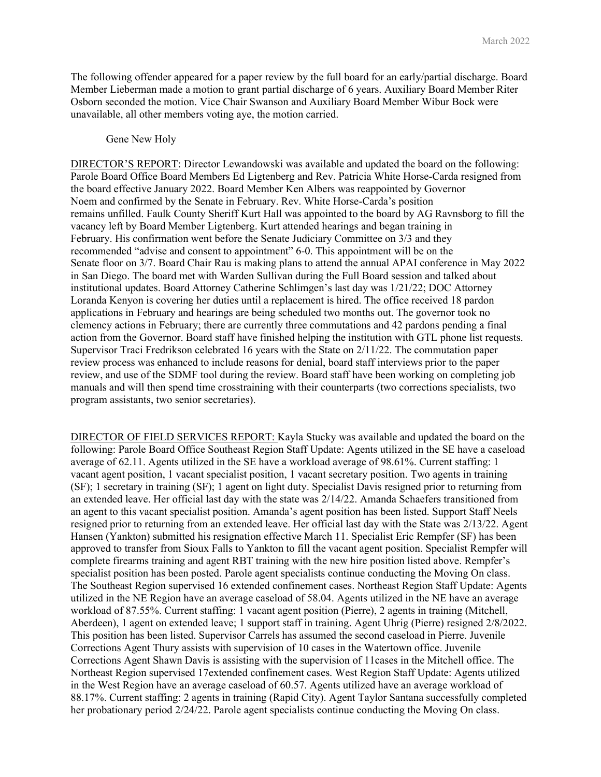The following offender appeared for a paper review by the full board for an early/partial discharge. Board Member Lieberman made a motion to grant partial discharge of 6 years. Auxiliary Board Member Riter Osborn seconded the motion. Vice Chair Swanson and Auxiliary Board Member Wibur Bock were unavailable, all other members voting aye, the motion carried.

#### Gene New Holy

DIRECTOR'S REPORT: Director Lewandowski was available and updated the board on the following: Parole Board Office Board Members Ed Ligtenberg and Rev. Patricia White Horse-Carda resigned from the board effective January 2022. Board Member Ken Albers was reappointed by Governor Noem and confirmed by the Senate in February. Rev. White Horse-Carda's position remains unfilled. Faulk County Sheriff Kurt Hall was appointed to the board by AG Ravnsborg to fill the vacancy left by Board Member Ligtenberg. Kurt attended hearings and began training in February. His confirmation went before the Senate Judiciary Committee on 3/3 and they recommended "advise and consent to appointment" 6-0. This appointment will be on the Senate floor on 3/7. Board Chair Rau is making plans to attend the annual APAI conference in May 2022 in San Diego. The board met with Warden Sullivan during the Full Board session and talked about institutional updates. Board Attorney Catherine Schlimgen's last day was 1/21/22; DOC Attorney Loranda Kenyon is covering her duties until a replacement is hired. The office received 18 pardon applications in February and hearings are being scheduled two months out. The governor took no clemency actions in February; there are currently three commutations and 42 pardons pending a final action from the Governor. Board staff have finished helping the institution with GTL phone list requests. Supervisor Traci Fredrikson celebrated 16 years with the State on 2/11/22. The commutation paper review process was enhanced to include reasons for denial, board staff interviews prior to the paper review, and use of the SDMF tool during the review. Board staff have been working on completing job manuals and will then spend time crosstraining with their counterparts (two corrections specialists, two program assistants, two senior secretaries).

DIRECTOR OF FIELD SERVICES REPORT: Kayla Stucky was available and updated the board on the following: Parole Board Office Southeast Region Staff Update: Agents utilized in the SE have a caseload average of 62.11. Agents utilized in the SE have a workload average of 98.61%. Current staffing: 1 vacant agent position, 1 vacant specialist position, 1 vacant secretary position. Two agents in training (SF); 1 secretary in training (SF); 1 agent on light duty. Specialist Davis resigned prior to returning from an extended leave. Her official last day with the state was 2/14/22. Amanda Schaefers transitioned from an agent to this vacant specialist position. Amanda's agent position has been listed. Support Staff Neels resigned prior to returning from an extended leave. Her official last day with the State was 2/13/22. Agent Hansen (Yankton) submitted his resignation effective March 11. Specialist Eric Rempfer (SF) has been approved to transfer from Sioux Falls to Yankton to fill the vacant agent position. Specialist Rempfer will complete firearms training and agent RBT training with the new hire position listed above. Rempfer's specialist position has been posted. Parole agent specialists continue conducting the Moving On class. The Southeast Region supervised 16 extended confinement cases. Northeast Region Staff Update: Agents utilized in the NE Region have an average caseload of 58.04. Agents utilized in the NE have an average workload of 87.55%. Current staffing: 1 vacant agent position (Pierre), 2 agents in training (Mitchell, Aberdeen), 1 agent on extended leave; 1 support staff in training. Agent Uhrig (Pierre) resigned 2/8/2022. This position has been listed. Supervisor Carrels has assumed the second caseload in Pierre. Juvenile Corrections Agent Thury assists with supervision of 10 cases in the Watertown office. Juvenile Corrections Agent Shawn Davis is assisting with the supervision of 11cases in the Mitchell office. The Northeast Region supervised 17extended confinement cases. West Region Staff Update: Agents utilized in the West Region have an average caseload of 60.57. Agents utilized have an average workload of 88.17%. Current staffing: 2 agents in training (Rapid City). Agent Taylor Santana successfully completed her probationary period 2/24/22. Parole agent specialists continue conducting the Moving On class.